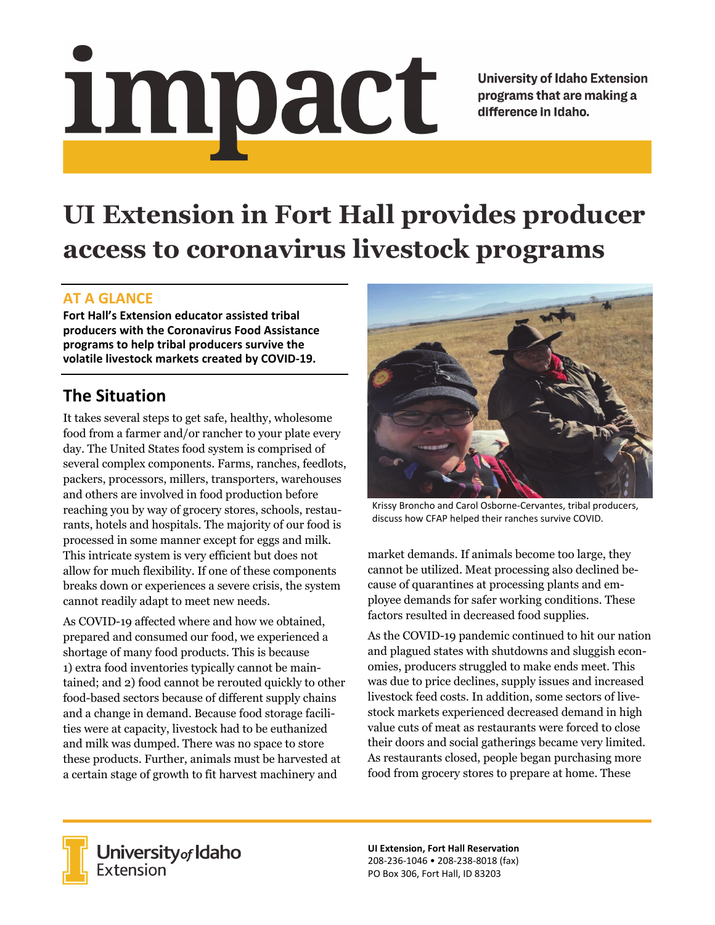# <u>impact</u>

**University of Idaho Extension** programs that are making a difference in Idaho.

# **UI Extension in Fort Hall provides producer access to coronavirus livestock programs**

#### **AT A GLANCE**

**Fort Hall's Extension educator assisted tribal producers with the Coronavirus Food Assistance programs to help tribal producers survive the volatile livestock markets created by COVID‐19.** 

# **The Situation**

It takes several steps to get safe, healthy, wholesome food from a farmer and/or rancher to your plate every day. The United States food system is comprised of several complex components. Farms, ranches, feedlots, packers, processors, millers, transporters, warehouses and others are involved in food production before reaching you by way of grocery stores, schools, restaurants, hotels and hospitals. The majority of our food is processed in some manner except for eggs and milk. This intricate system is very efficient but does not allow for much flexibility. If one of these components breaks down or experiences a severe crisis, the system cannot readily adapt to meet new needs.

As COVID-19 affected where and how we obtained, prepared and consumed our food, we experienced a shortage of many food products. This is because 1) extra food inventories typically cannot be maintained; and 2) food cannot be rerouted quickly to other food-based sectors because of different supply chains and a change in demand. Because food storage facilities were at capacity, livestock had to be euthanized and milk was dumped. There was no space to store these products. Further, animals must be harvested at a certain stage of growth to fit harvest machinery and



Krissy Broncho and Carol Osborne‐Cervantes, tribal producers, discuss how CFAP helped their ranches survive COVID.

market demands. If animals become too large, they cannot be utilized. Meat processing also declined because of quarantines at processing plants and employee demands for safer working conditions. These factors resulted in decreased food supplies.

As the COVID-19 pandemic continued to hit our nation and plagued states with shutdowns and sluggish economies, producers struggled to make ends meet. This was due to price declines, supply issues and increased livestock feed costs. In addition, some sectors of livestock markets experienced decreased demand in high value cuts of meat as restaurants were forced to close their doors and social gatherings became very limited. As restaurants closed, people began purchasing more food from grocery stores to prepare at home. These



**University** of Idaho<br>Extension

**UI Extension, Fort Hall Reservation**  208‐236‐1046 • 208‐238‐8018 (fax) PO Box 306, Fort Hall, ID 83203